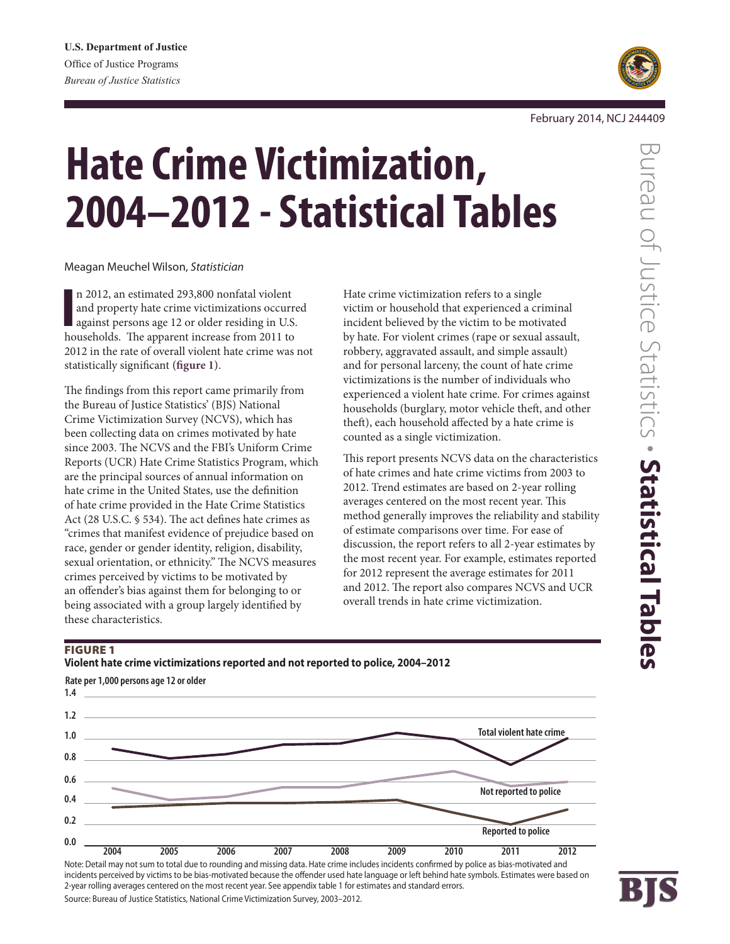

#### February 2014, NCJ 244409

# **Hate Crime Victimization, 2004–2012 - Statistical Tables**

Meagan Meuchel Wilson, *Statistician*

n 2012, an estimated 293,800 nonfatal violent<br>and property hate crime victimizations occurre<br>against persons age 12 or older residing in U.S.<br>households. The apparent increase from 2011 to n 2012, an estimated 293,800 nonfatal violent and property hate crime victimizations occurred against persons age 12 or older residing in U.S. 2012 in the rate of overall violent hate crime was not statistically significant **(figure 1)**.

The findings from this report came primarily from the Bureau of Justice Statistics' (BJS) National Crime Victimization Survey (NCVS), which has been collecting data on crimes motivated by hate since 2003. The NCVS and the FBI's Uniform Crime Reports (UCR) Hate Crime Statistics Program, which are the principal sources of annual information on hate crime in the United States, use the definition of hate crime provided in the Hate Crime Statistics Act (28 U.S.C. § 534). The act defines hate crimes as "crimes that manifest evidence of prejudice based on race, gender or gender identity, religion, disability, sexual orientation, or ethnicity." The NCVS measures crimes perceived by victims to be motivated by an offender's bias against them for belonging to or being associated with a group largely identified by these characteristics.

Hate crime victimization refers to a single victim or household that experienced a criminal incident believed by the victim to be motivated by hate. For violent crimes (rape or sexual assault, robbery, aggravated assault, and simple assault) and for personal larceny, the count of hate crime victimizations is the number of individuals who experienced a violent hate crime. For crimes against households (burglary, motor vehicle theft, and other theft), each household affected by a hate crime is counted as a single victimization.

This report presents NCVS data on the characteristics of hate crimes and hate crime victims from 2003 to 2012. Trend estimates are based on 2-year rolling averages centered on the most recent year. This method generally improves the reliability and stability of estimate comparisons over time. For ease of discussion, the report refers to all 2-year estimates by the most recent year. For example, estimates reported for 2012 represent the average estimates for 2011 and 2012. The report also compares NCVS and UCR overall trends in hate crime victimization.

#### **FIGURE 1**

**Rate per 1,000 persons age 12 or older**

**Violent hate crime victimizations reported and not reported to police, 2004–2012**



Note: Detail may not sum to total due to rounding and missing data. Hate crime includes incidents confirmed by police as bias-motivated and incidents perceived by victims to be bias-motivated because the offender used hate language or left behind hate symbols. Estimates were based on 2-year rolling averages centered on the most recent year. See appendix table 1 for estimates and standard errors. Source: Bureau of Justice Statistics, National Crime Victimization Survey, 2003–2012.

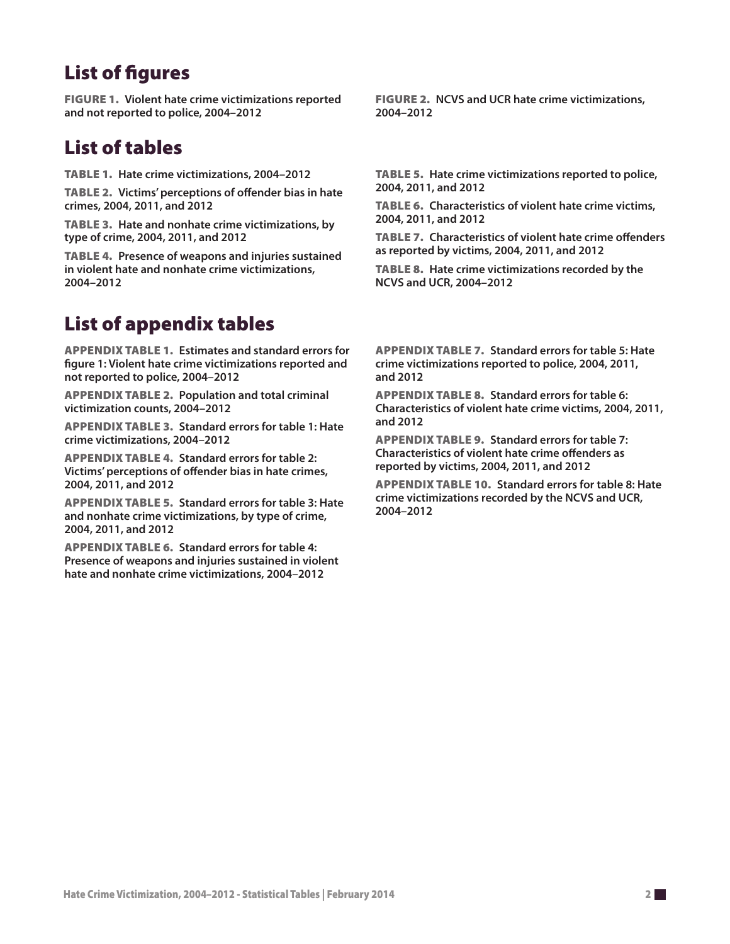# List of figures

FIGURE 1. **Violent hate crime victimizations reported and not reported to police, 2004–2012**

### List of tables

TABLE 1. **Hate crime victimizations, 2004–2012**

TABLE 2. **Victims' perceptions of offender bias in hate crimes, 2004, 2011, and 2012**

TABLE 3. **Hate and nonhate crime victimizations, by type of crime, 2004, 2011, and 2012**

TABLE 4. **Presence of weapons and injuries sustained in violent hate and nonhate crime victimizations, 2004–2012**

# List of appendix tables

APPENDIX TABLE 1. **Estimates and standard errors for figure 1: Violent hate crime victimizations reported and not reported to police, 2004–2012**

APPENDIX TABLE 2. **Population and total criminal victimization counts, 2004–2012**

APPENDIX TABLE 3. **Standard errors for table 1: Hate crime victimizations, 2004–2012**

APPENDIX TABLE 4. **Standard errors for table 2: Victims' perceptions of offender bias in hate crimes, 2004, 2011, and 2012**

APPENDIX TABLE 5. **Standard errors for table 3: Hate and nonhate crime victimizations, by type of crime, 2004, 2011, and 2012**

APPENDIX TABLE 6. **Standard errors for table 4: Presence of weapons and injuries sustained in violent hate and nonhate crime victimizations, 2004–2012**

FIGURE 2. **NCVS and UCR hate crime victimizations, 2004–2012**

TABLE 5. **Hate crime victimizations reported to police, 2004, 2011, and 2012**

TABLE 6. **Characteristics of violent hate crime victims, 2004, 2011, and 2012**

TABLE 7. **Characteristics of violent hate crime offenders as reported by victims, 2004, 2011, and 2012**

TABLE 8. **Hate crime victimizations recorded by the NCVS and UCR, 2004–2012**

APPENDIX TABLE 7. **Standard errors for table 5: Hate crime victimizations reported to police, 2004, 2011, and 2012**

APPENDIX TABLE 8. **Standard errors for table 6: Characteristics of violent hate crime victims, 2004, 2011, and 2012**

APPENDIX TABLE 9. **Standard errors for table 7: Characteristics of violent hate crime offenders as reported by victims, 2004, 2011, and 2012**

APPENDIX TABLE 10. **Standard errors for table 8: Hate crime victimizations recorded by the NCVS and UCR, 2004–2012**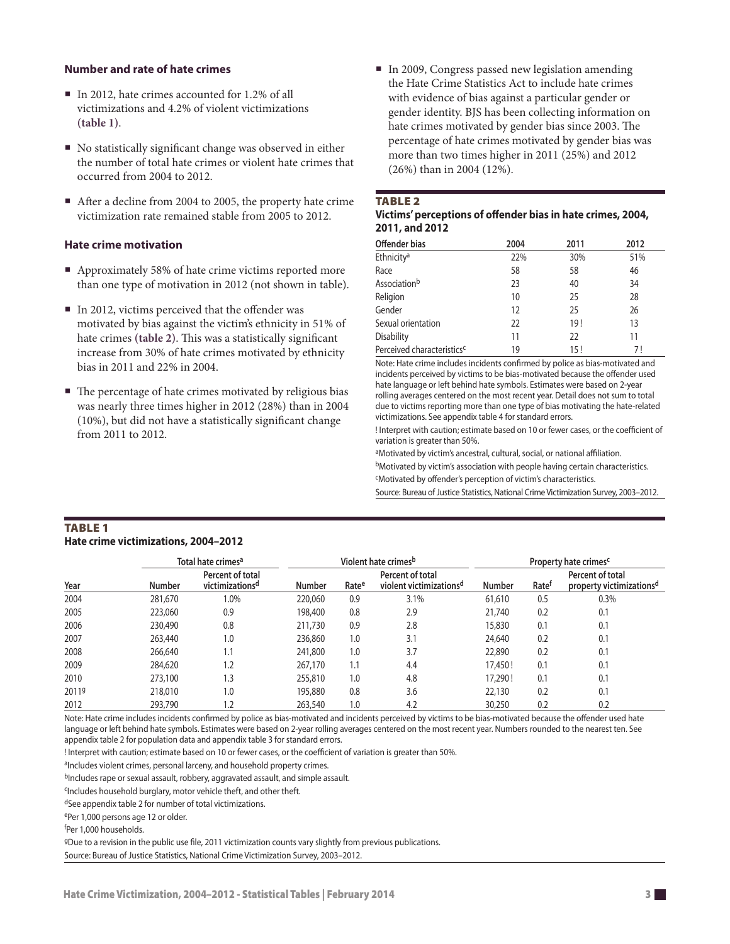#### **Number and rate of hate crimes**

- In 2012, hate crimes accounted for 1.2% of all victimizations and 4.2% of violent victimizations **(table 1)**.
- No statistically significant change was observed in either the number of total hate crimes or violent hate crimes that occurred from 2004 to 2012.
- After a decline from 2004 to 2005, the property hate crime victimization rate remained stable from 2005 to 2012.

#### **Hate crime motivation**

- Approximately 58% of hate crime victims reported more than one type of motivation in 2012 (not shown in table).
- In 2012, victims perceived that the offender was motivated by bias against the victim's ethnicity in 51% of hate crimes **(table 2)**. This was a statistically significant increase from 30% of hate crimes motivated by ethnicity bias in 2011 and 22% in 2004.
- The percentage of hate crimes motivated by religious bias was nearly three times higher in 2012 (28%) than in 2004 (10%), but did not have a statistically significant change from 2011 to 2012.

■ In 2009, Congress passed new legislation amending the Hate Crime Statistics Act to include hate crimes with evidence of bias against a particular gender or gender identity. BJS has been collecting information on hate crimes motivated by gender bias since 2003. The percentage of hate crimes motivated by gender bias was more than two times higher in 2011 (25%) and 2012 (26%) than in 2004 (12%).

#### **TABLE 2**

| Victims' perceptions of offender bias in hate crimes, 2004, |  |
|-------------------------------------------------------------|--|
| 2011, and 2012                                              |  |

| Offender bias                          | 2004 | 2011 | 2012 |
|----------------------------------------|------|------|------|
| Ethnicity <sup>a</sup>                 | 22%  | 30%  | 51%  |
| Race                                   | 58   | 58   | 46   |
| Associationb                           | 23   | 40   | 34   |
| Religion                               | 10   | 25   | 28   |
| Gender                                 | 12   | 25   | 26   |
| Sexual orientation                     | 22   | 19!  | 13   |
| <b>Disability</b>                      | 11   | 22   | 11   |
| Perceived characteristics <sup>c</sup> | 19   | 15!  | 7!   |

Note: Hate crime includes incidents confirmed by police as bias-motivated and incidents perceived by victims to be bias-motivated because the offender used hate language or left behind hate symbols. Estimates were based on 2-year rolling averages centered on the most recent year. Detail does not sum to total due to victims reporting more than one type of bias motivating the hate-related victimizations. See appendix table 4 for standard errors.

! Interpret with caution; estimate based on 10 or fewer cases, or the coefficient of variation is greater than 50%.

aMotivated by victim's ancestral, cultural, social, or national affiliation.

bMotivated by victim's association with people having certain characteristics.

cMotivated by offender's perception of victim's characteristics.

Source: Bureau of Justice Statistics, National Crime Victimization Survey, 2003–2012.

#### **TABLE 1 Hate crime victimizations, 2004–2012**

|       |               | Total hate crimes <sup>a</sup>                  |               | Violent hate crimes <sup>b</sup> |                                                         |         | Property hate crimes <sup>c</sup> |                                                          |  |
|-------|---------------|-------------------------------------------------|---------------|----------------------------------|---------------------------------------------------------|---------|-----------------------------------|----------------------------------------------------------|--|
| Year  | <b>Number</b> | Percent of total<br>victimizations <sup>d</sup> | <b>Number</b> | Rate <sup>e</sup>                | Percent of total<br>violent victimizations <sup>d</sup> | Number  | Rate <sup>t</sup>                 | Percent of total<br>property victimizations <sup>d</sup> |  |
| 2004  | 281,670       | $1.0\%$                                         | 220,060       | 0.9                              | 3.1%                                                    | 61,610  | 0.5                               | 0.3%                                                     |  |
| 2005  | 223,060       | 0.9                                             | 198,400       | 0.8                              | 2.9                                                     | 21,740  | 0.2                               | 0.1                                                      |  |
| 2006  | 230,490       | 0.8                                             | 211,730       | 0.9                              | 2.8                                                     | 15,830  | 0.1                               | 0.1                                                      |  |
| 2007  | 263,440       | 1.0                                             | 236,860       | 1.0                              | 3.1                                                     | 24,640  | 0.2                               | 0.1                                                      |  |
| 2008  | 266,640       | 1.1                                             | 241,800       | 1.0                              | 3.7                                                     | 22,890  | 0.2                               | 0.1                                                      |  |
| 2009  | 284,620       | 1.2                                             | 267,170       | 1.1                              | 4.4                                                     | 17,450! | 0.1                               | 0.1                                                      |  |
| 2010  | 273,100       | 1.3                                             | 255,810       | 1.0                              | 4.8                                                     | 17,290! | 0.1                               | 0.1                                                      |  |
| 20119 | 218,010       | 1.0                                             | 195,880       | 0.8                              | 3.6                                                     | 22,130  | 0.2                               | 0.1                                                      |  |
| 2012  | 293,790       | 1.2                                             | 263,540       | 1.0                              | 4.2                                                     | 30,250  | 0.2                               | 0.2                                                      |  |

Note: Hate crime includes incidents confirmed by police as bias-motivated and incidents perceived by victims to be bias-motivated because the offender used hate language or left behind hate symbols. Estimates were based on 2-year rolling averages centered on the most recent year. Numbers rounded to the nearest ten. See appendix table 2 for population data and appendix table 3 for standard errors.

! Interpret with caution; estimate based on 10 or fewer cases, or the coefficient of variation is greater than 50%.

aIncludes violent crimes, personal larceny, and household property crimes.

bIncludes rape or sexual assault, robbery, aggravated assault, and simple assault.

cIncludes household burglary, motor vehicle theft, and other theft.

dSee appendix table 2 for number of total victimizations.

ePer 1,000 persons age 12 or older.

f Per 1,000 households.

gDue to a revision in the public use file, 2011 victimization counts vary slightly from previous publications.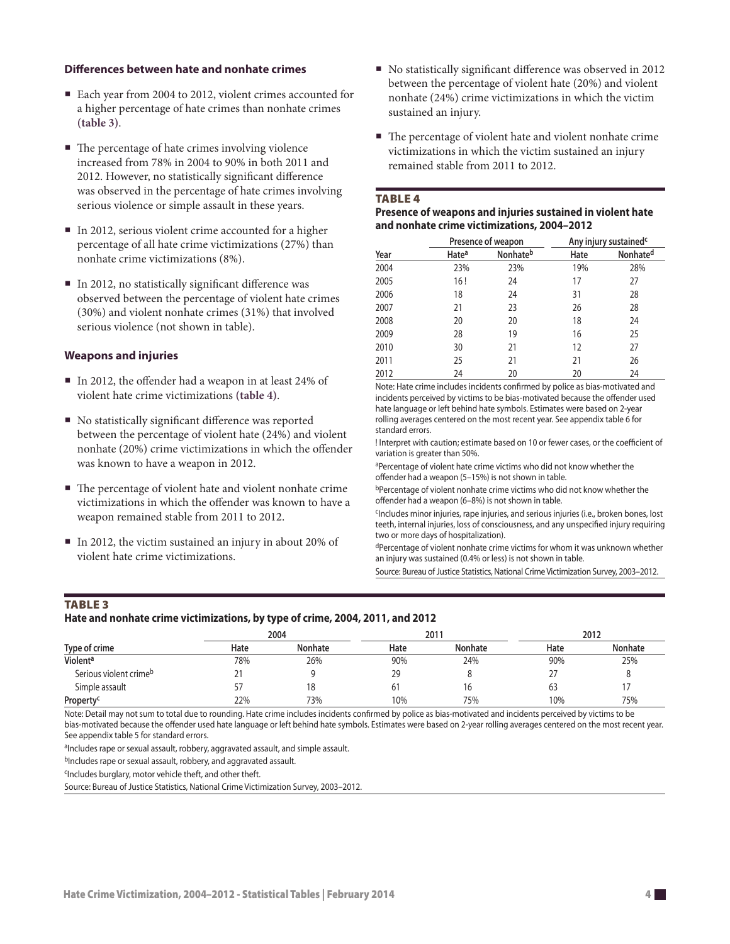#### **Differences between hate and nonhate crimes**

- Each year from 2004 to 2012, violent crimes accounted for a higher percentage of hate crimes than nonhate crimes **(table 3)**.
- $\blacksquare$  The percentage of hate crimes involving violence increased from 78% in 2004 to 90% in both 2011 and 2012. However, no statistically significant difference was observed in the percentage of hate crimes involving serious violence or simple assault in these years.
- In 2012, serious violent crime accounted for a higher percentage of all hate crime victimizations (27%) than nonhate crime victimizations (8%).
- In 2012, no statistically significant difference was observed between the percentage of violent hate crimes (30%) and violent nonhate crimes (31%) that involved serious violence (not shown in table).

#### **Weapons and injuries**

- In 2012, the offender had a weapon in at least 24% of violent hate crime victimizations **(table 4)**.
- No statistically significant difference was reported between the percentage of violent hate (24%) and violent nonhate (20%) crime victimizations in which the offender was known to have a weapon in 2012.
- The percentage of violent hate and violent nonhate crime victimizations in which the offender was known to have a weapon remained stable from 2011 to 2012.
- In 2012, the victim sustained an injury in about 20% of violent hate crime victimizations.
- No statistically significant difference was observed in 2012 between the percentage of violent hate (20%) and violent nonhate (24%) crime victimizations in which the victim sustained an injury.
- The percentage of violent hate and violent nonhate crime victimizations in which the victim sustained an injury remained stable from 2011 to 2012.

#### **TABLE 4**

#### **Presence of weapons and injuries sustained in violent hate and nonhate crime victimizations, 2004–2012**

|      | Presence of weapon |                             |      | Any injury sustained <sup>c</sup> |
|------|--------------------|-----------------------------|------|-----------------------------------|
| Year | Hate <sup>a</sup>  | <b>Nonhate</b> <sup>b</sup> | Hate | Nonhate <sup>d</sup>              |
| 2004 | 23%                | 23%                         | 19%  | 28%                               |
| 2005 | 16!                | 24                          | 17   | 27                                |
| 2006 | 18                 | 24                          | 31   | 28                                |
| 2007 | 21                 | 23                          | 26   | 28                                |
| 2008 | 20                 | 20                          | 18   | 24                                |
| 2009 | 28                 | 19                          | 16   | 25                                |
| 2010 | 30                 | 21                          | 12   | 27                                |
| 2011 | 25                 | 21                          | 21   | 26                                |
| 2012 | 24                 | 20                          | 20   | 24                                |

Note: Hate crime includes incidents confirmed by police as bias-motivated and incidents perceived by victims to be bias-motivated because the offender used hate language or left behind hate symbols. Estimates were based on 2-year rolling averages centered on the most recent year. See appendix table 6 for standard errors.

! Interpret with caution; estimate based on 10 or fewer cases, or the coefficient of variation is greater than 50%.

aPercentage of violent hate crime victims who did not know whether the offender had a weapon (5–15%) is not shown in table.

bPercentage of violent nonhate crime victims who did not know whether the offender had a weapon (6–8%) is not shown in table.

cIncludes minor injuries, rape injuries, and serious injuries (i.e., broken bones, lost teeth, internal injuries, loss of consciousness, and any unspecified injury requiring two or more days of hospitalization).

dPercentage of violent nonhate crime victims for whom it was unknown whether an injury was sustained (0.4% or less) is not shown in table.

Source: Bureau of Justice Statistics, National Crime Victimization Survey, 2003–2012.

#### TABLE<sub>3</sub>

#### **Hate and nonhate crime victimizations, by type of crime, 2004, 2011, and 2012**

|                                    | 2004 |         | 2011 |                | 2012 |                |
|------------------------------------|------|---------|------|----------------|------|----------------|
| Type of crime                      | Hate | Nonhate | Hate | <b>Nonhate</b> | Hate | <b>Nonhate</b> |
| Violent <sup>a</sup>               | 78%  | 26%     | 90%  | 24%            | 90%  | 25%            |
| Serious violent crime <sup>b</sup> |      |         | 29   |                |      |                |
| Simple assault                     |      | 10      | 6 I  | 16             | 63   |                |
| Property <sup>c</sup>              | 22%  | 73%     | 10%  | 75%            | 10%  | 75%            |

Note: Detail may not sum to total due to rounding. Hate crime includes incidents confirmed by police as bias-motivated and incidents perceived by victims to be bias-motivated because the offender used hate language or left behind hate symbols. Estimates were based on 2-year rolling averages centered on the most recent year. See appendix table 5 for standard errors.

aIncludes rape or sexual assault, robbery, aggravated assault, and simple assault.

bIncludes rape or sexual assault, robbery, and aggravated assault.

cIncludes burglary, motor vehicle theft, and other theft.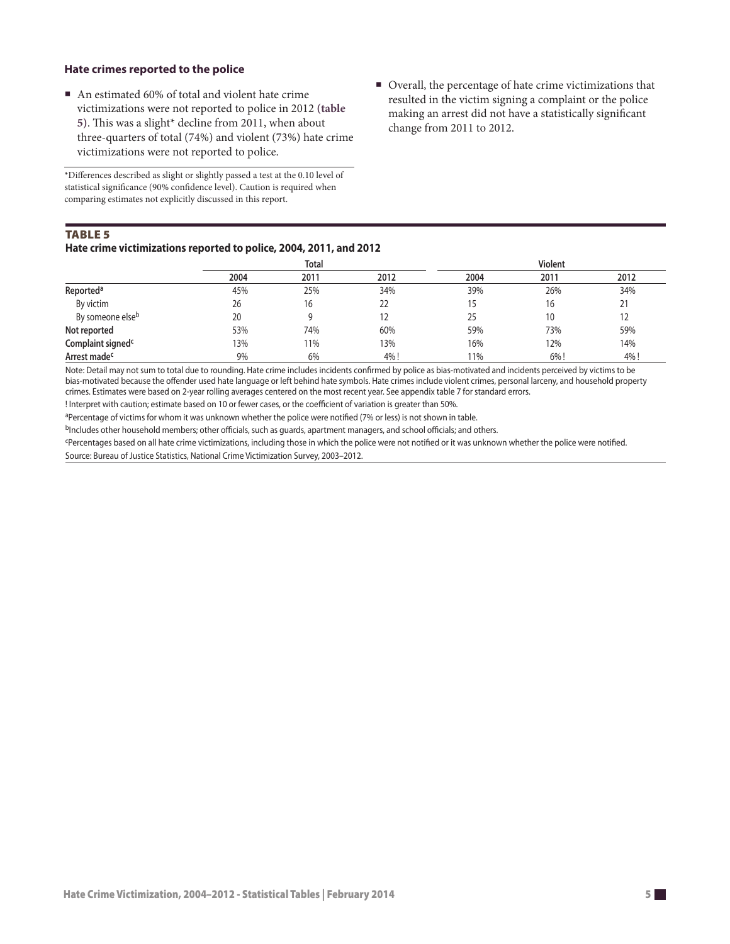#### **Hate crimes reported to the police**

■ An estimated 60% of total and violent hate crime victimizations were not reported to police in 2012 **(table 5)**. This was a slight\* decline from 2011, when about three-quarters of total (74%) and violent (73%) hate crime victimizations were not reported to police.

\*Differences described as slight or slightly passed a test at the 0.10 level of statistical significance (90% confidence level). Caution is required when comparing estimates not explicitly discussed in this report.

 Overall, the percentage of hate crime victimizations that resulted in the victim signing a complaint or the police making an arrest did not have a statistically significant change from 2011 to 2012.

#### TABLE<sub>5</sub>

#### **Hate crime victimizations reported to police, 2004, 2011, and 2012**

|                               | <b>Total</b> |      |      | Violent |      |      |
|-------------------------------|--------------|------|------|---------|------|------|
|                               | 2004         | 2011 | 2012 | 2004    | 2011 | 2012 |
| Reported <sup>a</sup>         | 45%          | 25%  | 34%  | 39%     | 26%  | 34%  |
| By victim                     | 26           | 16   | 22   |         | 16   | 21   |
| By someone elseb              | 20           |      | 12   | 25      | 10   | 12   |
| Not reported                  | 53%          | 74%  | 60%  | 59%     | 73%  | 59%  |
| Complaint signed <sup>c</sup> | 13%          | 11%  | 13%  | 16%     | 12%  | 14%  |
| Arrest made <sup>c</sup>      | 9%           | 6%   | 4%!  | 1%      | 6%!  | 4%!  |

Note: Detail may not sum to total due to rounding. Hate crime includes incidents confirmed by police as bias-motivated and incidents perceived by victims to be bias-motivated because the offender used hate language or left behind hate symbols. Hate crimes include violent crimes, personal larceny, and household property crimes. Estimates were based on 2-year rolling averages centered on the most recent year. See appendix table 7 for standard errors.

! Interpret with caution; estimate based on 10 or fewer cases, or the coefficient of variation is greater than 50%.

aPercentage of victims for whom it was unknown whether the police were notified (7% or less) is not shown in table.

bIncludes other household members; other officials, such as guards, apartment managers, and school officials; and others.

cPercentages based on all hate crime victimizations, including those in which the police were not notified or it was unknown whether the police were notified.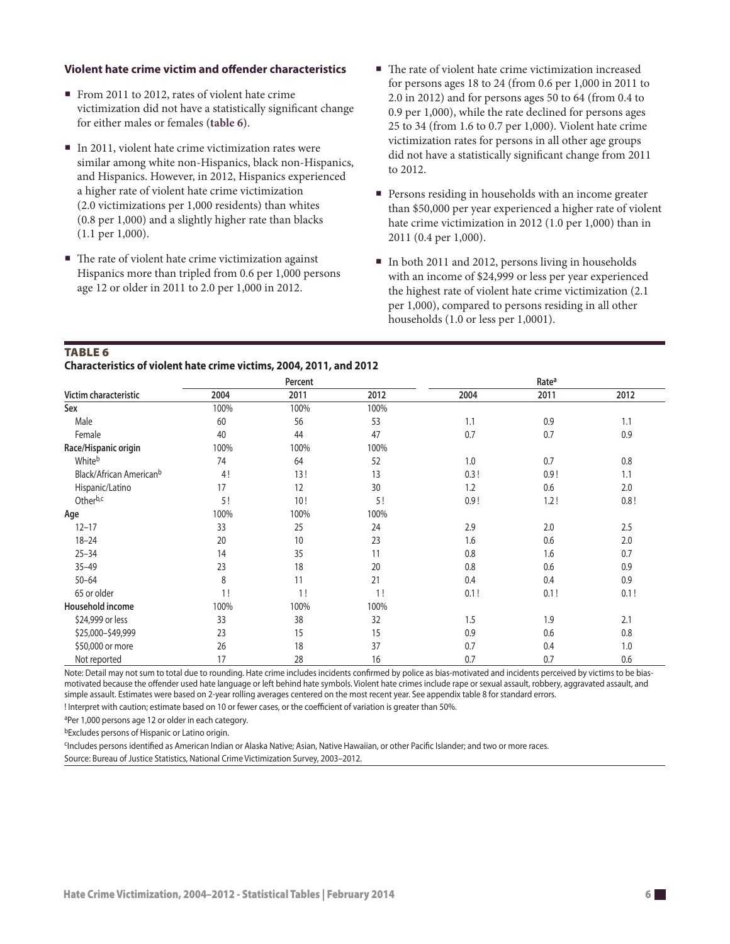#### **Violent hate crime victim and offender characteristics**

- From 2011 to 2012, rates of violent hate crime victimization did not have a statistically significant change for either males or females **(table 6)**.
- $\blacksquare$  In 2011, violent hate crime victimization rates were similar among white non-Hispanics, black non-Hispanics, and Hispanics. However, in 2012, Hispanics experienced a higher rate of violent hate crime victimization (2.0 victimizations per 1,000 residents) than whites (0.8 per 1,000) and a slightly higher rate than blacks (1.1 per 1,000).
- The rate of violent hate crime victimization against Hispanics more than tripled from 0.6 per 1,000 persons age 12 or older in 2011 to 2.0 per 1,000 in 2012.
- The rate of violent hate crime victimization increased for persons ages 18 to 24 (from 0.6 per 1,000 in 2011 to 2.0 in 2012) and for persons ages 50 to 64 (from 0.4 to 0.9 per 1,000), while the rate declined for persons ages 25 to 34 (from 1.6 to 0.7 per 1,000). Violent hate crime victimization rates for persons in all other age groups did not have a statistically significant change from 2011 to 2012.
- **Persons residing in households with an income greater** than \$50,000 per year experienced a higher rate of violent hate crime victimization in 2012 (1.0 per 1,000) than in 2011 (0.4 per 1,000).
- In both 2011 and 2012, persons living in households with an income of \$24,999 or less per year experienced the highest rate of violent hate crime victimization (2.1 per 1,000), compared to persons residing in all other households (1.0 or less per 1,0001).

#### **TABLE 6**

**Characteristics of violent hate crime victims, 2004, 2011, and 2012**

|                                     | Percent |      |      | Rate <sup>a</sup> |      |      |  |
|-------------------------------------|---------|------|------|-------------------|------|------|--|
| Victim characteristic               | 2004    | 2011 | 2012 | 2004              | 2011 | 2012 |  |
| Sex                                 | 100%    | 100% | 100% |                   |      |      |  |
| Male                                | 60      | 56   | 53   | 1.1               | 0.9  | 1.1  |  |
| Female                              | 40      | 44   | 47   | 0.7               | 0.7  | 0.9  |  |
| Race/Hispanic origin                | 100%    | 100% | 100% |                   |      |      |  |
| Whiteb                              | 74      | 64   | 52   | 1.0               | 0.7  | 0.8  |  |
| Black/African American <sup>b</sup> | 4!      | 13!  | 13   | 0.3!              | 0.9! | 1.1  |  |
| Hispanic/Latino                     | 17      | 12   | 30   | 1.2               | 0.6  | 2.0  |  |
| Other <sup>b,c</sup>                | 5!      | 10!  | 5!   | 0.9!              | 1.2! | 0.8! |  |
| Age                                 | 100%    | 100% | 100% |                   |      |      |  |
| $12 - 17$                           | 33      | 25   | 24   | 2.9               | 2.0  | 2.5  |  |
| $18 - 24$                           | 20      | 10   | 23   | 1.6               | 0.6  | 2.0  |  |
| $25 - 34$                           | 14      | 35   | 11   | 0.8               | 1.6  | 0.7  |  |
| $35 - 49$                           | 23      | 18   | 20   | 0.8               | 0.6  | 0.9  |  |
| $50 - 64$                           | 8       | 11   | 21   | 0.4               | 0.4  | 0.9  |  |
| 65 or older                         | 1!      | 1!   | 1!   | 0.1!              | 0.1! | 0.1! |  |
| Household income                    | 100%    | 100% | 100% |                   |      |      |  |
| \$24,999 or less                    | 33      | 38   | 32   | 1.5               | 1.9  | 2.1  |  |
| \$25,000-\$49,999                   | 23      | 15   | 15   | 0.9               | 0.6  | 0.8  |  |
| \$50,000 or more                    | 26      | 18   | 37   | 0.7               | 0.4  | 1.0  |  |
| Not reported                        | 17      | 28   | 16   | 0.7               | 0.7  | 0.6  |  |

Note: Detail may not sum to total due to rounding. Hate crime includes incidents confirmed by police as bias-motivated and incidents perceived by victims to be biasmotivated because the offender used hate language or left behind hate symbols. Violent hate crimes include rape or sexual assault, robbery, aggravated assault, and simple assault. Estimates were based on 2-year rolling averages centered on the most recent year. See appendix table 8 for standard errors.

! Interpret with caution; estimate based on 10 or fewer cases, or the coefficient of variation is greater than 50%.

aPer 1,000 persons age 12 or older in each category.

bExcludes persons of Hispanic or Latino origin.

<sup>c</sup>Includes persons identified as American Indian or Alaska Native; Asian, Native Hawaiian, or other Pacific Islander; and two or more races. Source: Bureau of Justice Statistics, National Crime Victimization Survey, 2003–2012.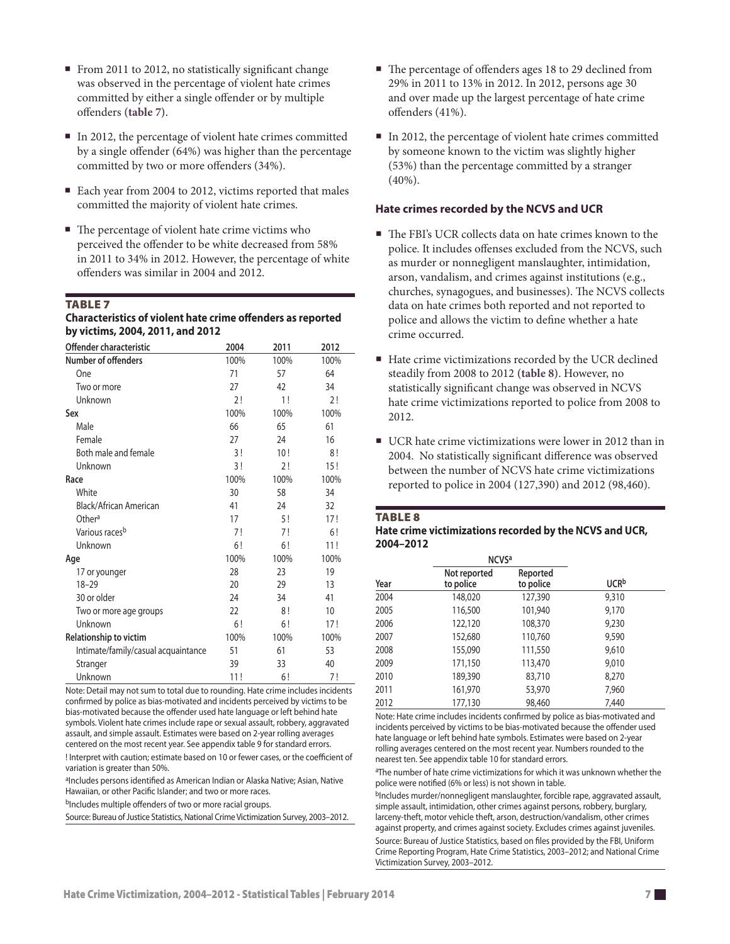- From 2011 to 2012, no statistically significant change was observed in the percentage of violent hate crimes committed by either a single offender or by multiple offenders **(table 7)**.
- In 2012, the percentage of violent hate crimes committed by a single offender (64%) was higher than the percentage committed by two or more offenders (34%).
- Each year from 2004 to 2012, victims reported that males committed the majority of violent hate crimes.
- The percentage of violent hate crime victims who perceived the offender to be white decreased from 58% in 2011 to 34% in 2012. However, the percentage of white offenders was similar in 2004 and 2012.

#### TABLE<sub>7</sub>

#### **Characteristics of violent hate crime offenders as reported by victims, 2004, 2011, and 2012**

| Offender characteristic             | 2004 | 2011 | 2012 |
|-------------------------------------|------|------|------|
| <b>Number of offenders</b>          | 100% | 100% | 100% |
| One                                 | 71   | 57   | 64   |
| Two or more                         | 27   | 42   | 34   |
| Unknown                             | 2!   | 1!   | 2!   |
| Sex                                 | 100% | 100% | 100% |
| Male                                | 66   | 65   | 61   |
| Female                              | 27   | 24   | 16   |
| Both male and female                | 3!   | 10!  | 8!   |
| Unknown                             | 3!   | 2!   | 15!  |
| Race                                | 100% | 100% | 100% |
| White                               | 30   | 58   | 34   |
| Black/African American              | 41   | 24   | 32   |
| Othera                              | 17   | 5!   | 17!  |
| Various races <sup>b</sup>          | 7!   | 7!   | 6!   |
| Unknown                             | 6!   | 6!   | 11!  |
| Age                                 | 100% | 100% | 100% |
| 17 or younger                       | 28   | 23   | 19   |
| $18 - 29$                           | 20   | 29   | 13   |
| 30 or older                         | 24   | 34   | 41   |
| Two or more age groups              | 22   | 8!   | 10   |
| Unknown                             | 6!   | 6!   | 17!  |
| Relationship to victim              | 100% | 100% | 100% |
| Intimate/family/casual acquaintance | 51   | 61   | 53   |
| Stranger                            | 39   | 33   | 40   |
| Unknown                             | 11!  | 6!   | 7!   |

Note: Detail may not sum to total due to rounding. Hate crime includes incidents confirmed by police as bias-motivated and incidents perceived by victims to be bias-motivated because the offender used hate language or left behind hate symbols. Violent hate crimes include rape or sexual assault, robbery, aggravated assault, and simple assault. Estimates were based on 2-year rolling averages centered on the most recent year. See appendix table 9 for standard errors.

! Interpret with caution; estimate based on 10 or fewer cases, or the coefficient of variation is greater than 50%.

aIncludes persons identified as American Indian or Alaska Native; Asian, Native Hawaiian, or other Pacific Islander; and two or more races.

bIncludes multiple offenders of two or more racial groups.

Source: Bureau of Justice Statistics, National Crime Victimization Survey, 2003–2012.

- The percentage of offenders ages 18 to 29 declined from 29% in 2011 to 13% in 2012. In 2012, persons age 30 and over made up the largest percentage of hate crime offenders (41%).
- In 2012, the percentage of violent hate crimes committed by someone known to the victim was slightly higher (53%) than the percentage committed by a stranger (40%).

#### **Hate crimes recorded by the NCVS and UCR**

- The FBI's UCR collects data on hate crimes known to the police. It includes offenses excluded from the NCVS, such as murder or nonnegligent manslaughter, intimidation, arson, vandalism, and crimes against institutions (e.g., churches, synagogues, and businesses). The NCVS collects data on hate crimes both reported and not reported to police and allows the victim to define whether a hate crime occurred.
- Hate crime victimizations recorded by the UCR declined steadily from 2008 to 2012 **(table 8)**. However, no statistically significant change was observed in NCVS hate crime victimizations reported to police from 2008 to 2012.
- UCR hate crime victimizations were lower in 2012 than in 2004. No statistically significant difference was observed between the number of NCVS hate crime victimizations reported to police in 2004 (127,390) and 2012 (98,460).

#### **TABLE 8**

#### **Hate crime victimizations recorded by the NCVS and UCR, 2004–2012**

|      | <b>NCVSa</b>              |                       |             |
|------|---------------------------|-----------------------|-------------|
| Year | Not reported<br>to police | Reported<br>to police | <b>UCRb</b> |
| 2004 | 148,020                   | 127,390               | 9,310       |
| 2005 | 116,500                   | 101,940               | 9,170       |
| 2006 | 122,120                   | 108,370               | 9,230       |
| 2007 | 152,680                   | 110,760               | 9,590       |
| 2008 | 155,090                   | 111,550               | 9,610       |
| 2009 | 171,150                   | 113,470               | 9,010       |
| 2010 | 189,390                   | 83,710                | 8,270       |
| 2011 | 161,970                   | 53,970                | 7,960       |
| 2012 | 177,130                   | 98,460                | 7,440       |

Note: Hate crime includes incidents confirmed by police as bias-motivated and incidents perceived by victims to be bias-motivated because the offender used hate language or left behind hate symbols. Estimates were based on 2-year rolling averages centered on the most recent year. Numbers rounded to the nearest ten. See appendix table 10 for standard errors.

aThe number of hate crime victimizations for which it was unknown whether the police were notified (6% or less) is not shown in table.

bIncludes murder/nonnegligent manslaughter, forcible rape, aggravated assault, simple assault, intimidation, other crimes against persons, robbery, burglary, larceny-theft, motor vehicle theft, arson, destruction/vandalism, other crimes against property, and crimes against society. Excludes crimes against juveniles. Source: Bureau of Justice Statistics, based on files provided by the FBI, Uniform Crime Reporting Program, Hate Crime Statistics, 2003–2012; and National Crime Victimization Survey, 2003–2012.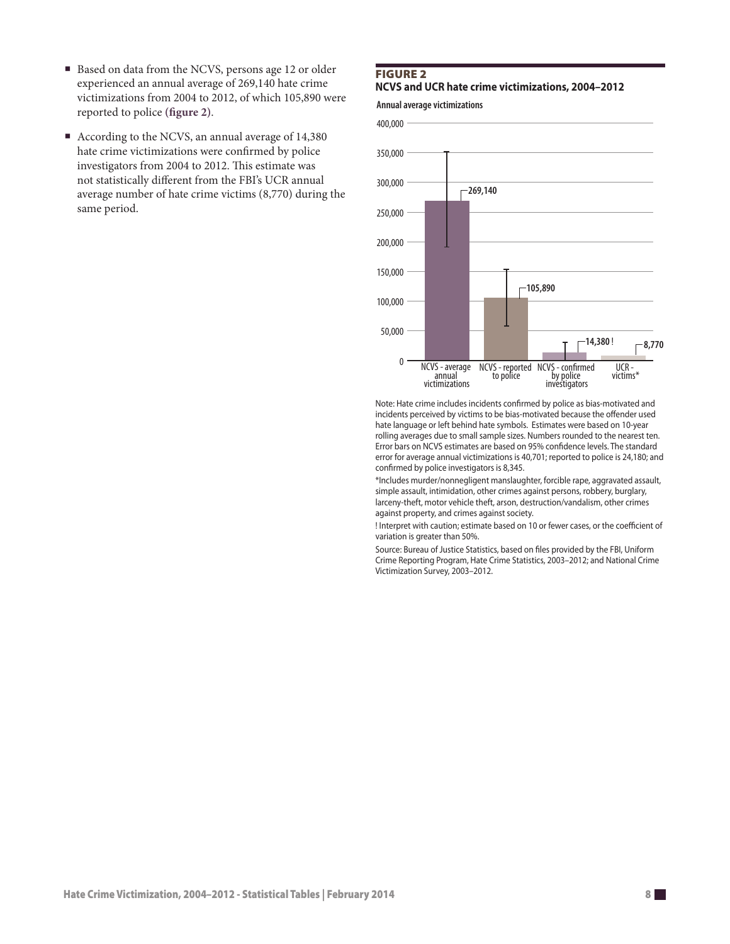- Based on data from the NCVS, persons age 12 or older experienced an annual average of 269,140 hate crime victimizations from 2004 to 2012, of which 105,890 were reported to police **(figure 2)**.
- According to the NCVS, an annual average of 14,380 hate crime victimizations were confirmed by police investigators from 2004 to 2012. This estimate was not statistically different from the FBI's UCR annual average number of hate crime victims (8,770) during the same period.

#### **FIGURE 2**

#### **NCVS and UCR hate crime victimizations, 2004–2012**

**Annual average victimizations**



Note: Hate crime includes incidents confirmed by police as bias-motivated and incidents perceived by victims to be bias-motivated because the offender used hate language or left behind hate symbols. Estimates were based on 10-year rolling averages due to small sample sizes. Numbers rounded to the nearest ten. Error bars on NCVS estimates are based on 95% confidence levels. The standard error for average annual victimizations is 40,701; reported to police is 24,180; and confirmed by police investigators is 8,345.

\*Includes murder/nonnegligent manslaughter, forcible rape, aggravated assault, simple assault, intimidation, other crimes against persons, robbery, burglary, larceny-theft, motor vehicle theft, arson, destruction/vandalism, other crimes against property, and crimes against society.

! Interpret with caution; estimate based on 10 or fewer cases, or the coefficient of variation is greater than 50%.

Source: Bureau of Justice Statistics, based on files provided by the FBI, Uniform Crime Reporting Program, Hate Crime Statistics, 2003–2012; and National Crime Victimization Survey, 2003–2012.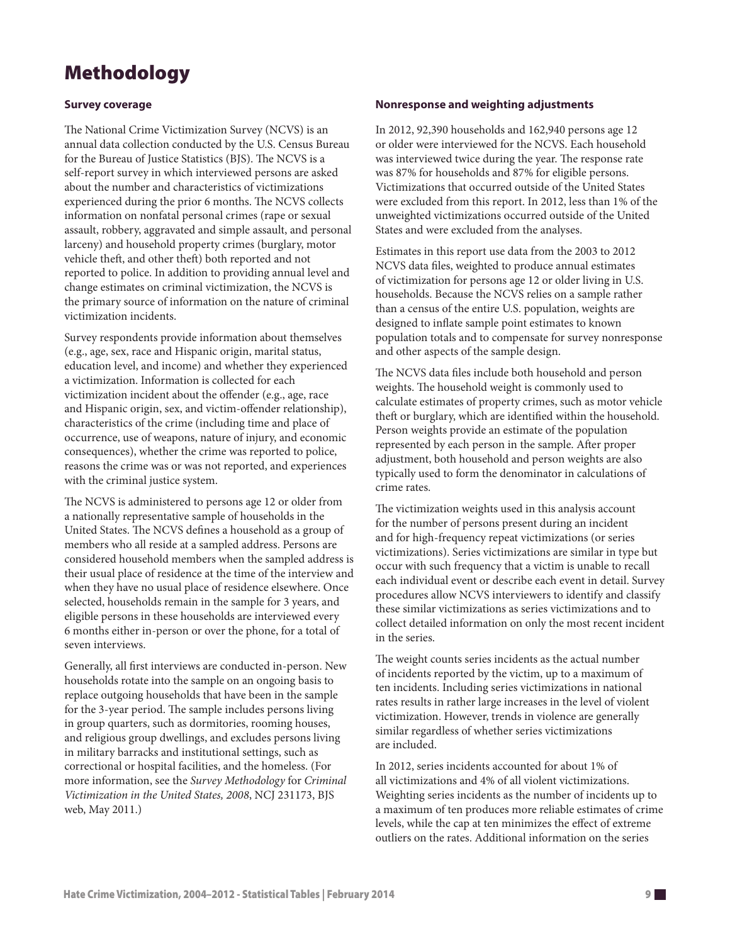# Methodology

#### **Survey coverage**

The National Crime Victimization Survey (NCVS) is an annual data collection conducted by the U.S. Census Bureau for the Bureau of Justice Statistics (BJS). The NCVS is a self-report survey in which interviewed persons are asked about the number and characteristics of victimizations experienced during the prior 6 months. The NCVS collects information on nonfatal personal crimes (rape or sexual assault, robbery, aggravated and simple assault, and personal larceny) and household property crimes (burglary, motor vehicle theft, and other theft) both reported and not reported to police. In addition to providing annual level and change estimates on criminal victimization, the NCVS is the primary source of information on the nature of criminal victimization incidents.

Survey respondents provide information about themselves (e.g., age, sex, race and Hispanic origin, marital status, education level, and income) and whether they experienced a victimization. Information is collected for each victimization incident about the offender (e.g., age, race and Hispanic origin, sex, and victim-offender relationship), characteristics of the crime (including time and place of occurrence, use of weapons, nature of injury, and economic consequences), whether the crime was reported to police, reasons the crime was or was not reported, and experiences with the criminal justice system.

The NCVS is administered to persons age 12 or older from a nationally representative sample of households in the United States. The NCVS defines a household as a group of members who all reside at a sampled address. Persons are considered household members when the sampled address is their usual place of residence at the time of the interview and when they have no usual place of residence elsewhere. Once selected, households remain in the sample for 3 years, and eligible persons in these households are interviewed every 6 months either in-person or over the phone, for a total of seven interviews.

Generally, all first interviews are conducted in-person. New households rotate into the sample on an ongoing basis to replace outgoing households that have been in the sample for the 3-year period. The sample includes persons living in group quarters, such as dormitories, rooming houses, and religious group dwellings, and excludes persons living in military barracks and institutional settings, such as correctional or hospital facilities, and the homeless. (For more information, see the *Survey Methodology* for *Criminal Victimization in the United States, 2008*, NCJ 231173, BJS web, May 2011.)

#### **Nonresponse and weighting adjustments**

In 2012, 92,390 households and 162,940 persons age 12 or older were interviewed for the NCVS. Each household was interviewed twice during the year. The response rate was 87% for households and 87% for eligible persons. Victimizations that occurred outside of the United States were excluded from this report. In 2012, less than 1% of the unweighted victimizations occurred outside of the United States and were excluded from the analyses.

Estimates in this report use data from the 2003 to 2012 NCVS data files, weighted to produce annual estimates of victimization for persons age 12 or older living in U.S. households. Because the NCVS relies on a sample rather than a census of the entire U.S. population, weights are designed to inflate sample point estimates to known population totals and to compensate for survey nonresponse and other aspects of the sample design.

The NCVS data files include both household and person weights. The household weight is commonly used to calculate estimates of property crimes, such as motor vehicle theft or burglary, which are identified within the household. Person weights provide an estimate of the population represented by each person in the sample. After proper adjustment, both household and person weights are also typically used to form the denominator in calculations of crime rates.

The victimization weights used in this analysis account for the number of persons present during an incident and for high-frequency repeat victimizations (or series victimizations). Series victimizations are similar in type but occur with such frequency that a victim is unable to recall each individual event or describe each event in detail. Survey procedures allow NCVS interviewers to identify and classify these similar victimizations as series victimizations and to collect detailed information on only the most recent incident in the series.

The weight counts series incidents as the actual number of incidents reported by the victim, up to a maximum of ten incidents. Including series victimizations in national rates results in rather large increases in the level of violent victimization. However, trends in violence are generally similar regardless of whether series victimizations are included.

In 2012, series incidents accounted for about 1% of all victimizations and 4% of all violent victimizations. Weighting series incidents as the number of incidents up to a maximum of ten produces more reliable estimates of crime levels, while the cap at ten minimizes the effect of extreme outliers on the rates. Additional information on the series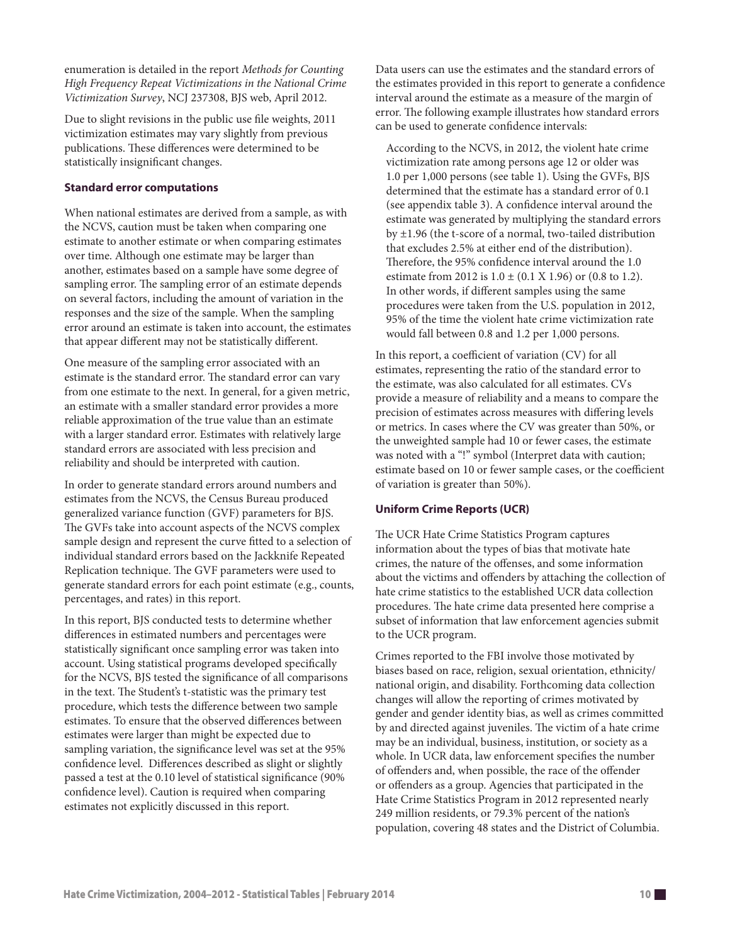enumeration is detailed in the report *Methods for Counting High Frequency Repeat Victimizations in the National Crime Victimization Survey*, NCJ 237308, BJS web, April 2012.

Due to slight revisions in the public use file weights, 2011 victimization estimates may vary slightly from previous publications. These differences were determined to be statistically insignificant changes.

#### **Standard error computations**

When national estimates are derived from a sample, as with the NCVS, caution must be taken when comparing one estimate to another estimate or when comparing estimates over time. Although one estimate may be larger than another, estimates based on a sample have some degree of sampling error. The sampling error of an estimate depends on several factors, including the amount of variation in the responses and the size of the sample. When the sampling error around an estimate is taken into account, the estimates that appear different may not be statistically different.

One measure of the sampling error associated with an estimate is the standard error. The standard error can vary from one estimate to the next. In general, for a given metric, an estimate with a smaller standard error provides a more reliable approximation of the true value than an estimate with a larger standard error. Estimates with relatively large standard errors are associated with less precision and reliability and should be interpreted with caution.

In order to generate standard errors around numbers and estimates from the NCVS, the Census Bureau produced generalized variance function (GVF) parameters for BJS. The GVFs take into account aspects of the NCVS complex sample design and represent the curve fitted to a selection of individual standard errors based on the Jackknife Repeated Replication technique. The GVF parameters were used to generate standard errors for each point estimate (e.g., counts, percentages, and rates) in this report.

In this report, BJS conducted tests to determine whether differences in estimated numbers and percentages were statistically significant once sampling error was taken into account. Using statistical programs developed specifically for the NCVS, BJS tested the significance of all comparisons in the text. The Student's t-statistic was the primary test procedure, which tests the difference between two sample estimates. To ensure that the observed differences between estimates were larger than might be expected due to sampling variation, the significance level was set at the 95% confidence level. Differences described as slight or slightly passed a test at the 0.10 level of statistical significance (90% confidence level). Caution is required when comparing estimates not explicitly discussed in this report.

Data users can use the estimates and the standard errors of the estimates provided in this report to generate a confidence interval around the estimate as a measure of the margin of error. The following example illustrates how standard errors can be used to generate confidence intervals:

According to the NCVS, in 2012, the violent hate crime victimization rate among persons age 12 or older was 1.0 per 1,000 persons (see table 1). Using the GVFs, BJS determined that the estimate has a standard error of 0.1 (see appendix table 3). A confidence interval around the estimate was generated by multiplying the standard errors by ±1.96 (the t-score of a normal, two-tailed distribution that excludes 2.5% at either end of the distribution). Therefore, the 95% confidence interval around the 1.0 estimate from 2012 is  $1.0 \pm (0.1 \text{ X } 1.96)$  or  $(0.8 \text{ to } 1.2)$ . In other words, if different samples using the same procedures were taken from the U.S. population in 2012, 95% of the time the violent hate crime victimization rate would fall between 0.8 and 1.2 per 1,000 persons.

In this report, a coefficient of variation (CV) for all estimates, representing the ratio of the standard error to the estimate, was also calculated for all estimates. CVs provide a measure of reliability and a means to compare the precision of estimates across measures with differing levels or metrics. In cases where the CV was greater than 50%, or the unweighted sample had 10 or fewer cases, the estimate was noted with a "!" symbol (Interpret data with caution; estimate based on 10 or fewer sample cases, or the coefficient of variation is greater than 50%).

#### **Uniform Crime Reports (UCR)**

The UCR Hate Crime Statistics Program captures information about the types of bias that motivate hate crimes, the nature of the offenses, and some information about the victims and offenders by attaching the collection of hate crime statistics to the established UCR data collection procedures. The hate crime data presented here comprise a subset of information that law enforcement agencies submit to the UCR program.

Crimes reported to the FBI involve those motivated by biases based on race, religion, sexual orientation, ethnicity/ national origin, and disability. Forthcoming data collection changes will allow the reporting of crimes motivated by gender and gender identity bias, as well as crimes committed by and directed against juveniles. The victim of a hate crime may be an individual, business, institution, or society as a whole. In UCR data, law enforcement specifies the number of offenders and, when possible, the race of the offender or offenders as a group. Agencies that participated in the Hate Crime Statistics Program in 2012 represented nearly 249 million residents, or 79.3% percent of the nation's population, covering 48 states and the District of Columbia.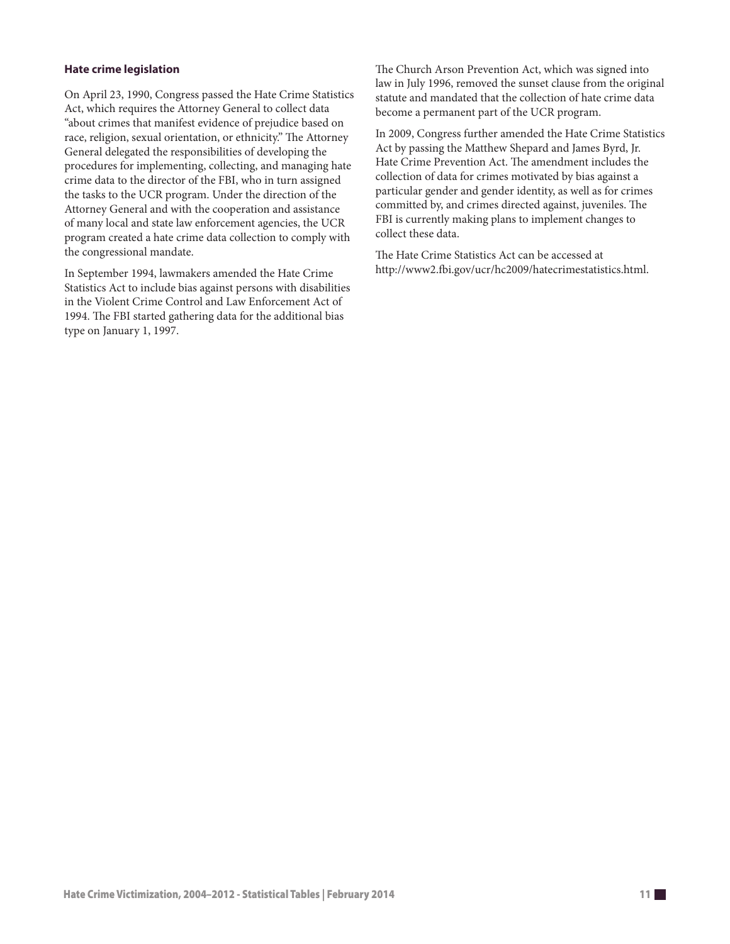#### **Hate crime legislation**

On April 23, 1990, Congress passed the Hate Crime Statistics Act, which requires the Attorney General to collect data "about crimes that manifest evidence of prejudice based on race, religion, sexual orientation, or ethnicity." The Attorney General delegated the responsibilities of developing the procedures for implementing, collecting, and managing hate crime data to the director of the FBI, who in turn assigned the tasks to the UCR program. Under the direction of the Attorney General and with the cooperation and assistance of many local and state law enforcement agencies, the UCR program created a hate crime data collection to comply with the congressional mandate.

In September 1994, lawmakers amended the Hate Crime Statistics Act to include bias against persons with disabilities in the Violent Crime Control and Law Enforcement Act of 1994. The FBI started gathering data for the additional bias type on January 1, 1997.

The Church Arson Prevention Act, which was signed into law in July 1996, removed the sunset clause from the original statute and mandated that the collection of hate crime data become a permanent part of the UCR program.

In 2009, Congress further amended the Hate Crime Statistics Act by passing the Matthew Shepard and James Byrd, Jr. Hate Crime Prevention Act. The amendment includes the collection of data for crimes motivated by bias against a particular gender and gender identity, as well as for crimes committed by, and crimes directed against, juveniles. The FBI is currently making plans to implement changes to collect these data.

The Hate Crime Statistics Act can be accessed at http://www2.fbi.gov/ucr/hc2009/hatecrimestatistics.html.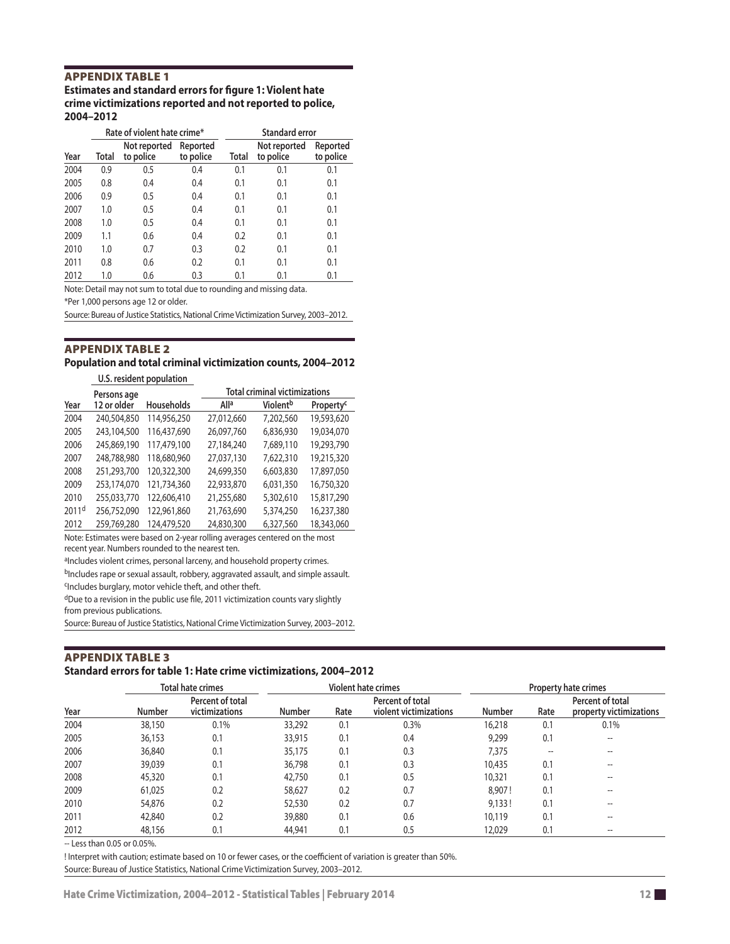#### Appendix table 1

#### **Estimates and standard errors for figure 1: Violent hate crime victimizations reported and not reported to police, 2004–2012**

|      |       | Rate of violent hate crime* |                       | <b>Standard error</b> |                           |                       |  |
|------|-------|-----------------------------|-----------------------|-----------------------|---------------------------|-----------------------|--|
| Year | Total | Not reported<br>to police   | Reported<br>to police | Total                 | Not reported<br>to police | Reported<br>to police |  |
| 2004 | 0.9   | 0.5                         | 0.4                   | 0.1                   | 0.1                       | 0.1                   |  |
| 2005 | 0.8   | 0.4                         | 0.4                   | 0.1                   | 0.1                       | 0.1                   |  |
| 2006 | 0.9   | 0.5                         | 0.4                   | 0.1                   | 0.1                       | 0.1                   |  |
| 2007 | 1.0   | 0.5                         | 0.4                   | 0.1                   | 0.1                       | 0.1                   |  |
| 2008 | 1.0   | 0.5                         | 0.4                   | 0.1                   | 0.1                       | 0.1                   |  |
| 2009 | 1.1   | 0.6                         | 0.4                   | 0.2                   | 0.1                       | 0.1                   |  |
| 2010 | 1.0   | 0.7                         | 0.3                   | 0.2                   | 0.1                       | 0.1                   |  |
| 2011 | 0.8   | 0.6                         | 0.2                   | 0.1                   | 0.1                       | 0.1                   |  |
| 2012 | 1.0   | 0.6                         | 0.3                   | 0.1                   | 0.1                       | 0.1                   |  |

Note: Detail may not sum to total due to rounding and missing data.

\*Per 1,000 persons age 12 or older.

Source: Bureau of Justice Statistics, National Crime Victimization Survey, 2003–2012.

#### Appendix table 2 **Population and total criminal victimization counts, 2004–2012**

| U.S. resident population |  |
|--------------------------|--|
| Persons age              |  |

|                   |             |             |            | <b>Total criminal victimizations</b> |                       |
|-------------------|-------------|-------------|------------|--------------------------------------|-----------------------|
|                   | Persons age |             |            |                                      |                       |
| Year              | 12 or older | Households  | Alla       | Violent <sup>b</sup>                 | Property <sup>c</sup> |
| 2004              | 240,504,850 | 114,956,250 | 27,012,660 | 7,202,560                            | 19,593,620            |
| 2005              | 243,104,500 | 116,437,690 | 26,097,760 | 6,836,930                            | 19,034,070            |
| 2006              | 245,869,190 | 117,479,100 | 27,184,240 | 7,689,110                            | 19,293,790            |
| 2007              | 248,788,980 | 118,680,960 | 27,037,130 | 7,622,310                            | 19,215,320            |
| 2008              | 251,293,700 | 120,322,300 | 24,699,350 | 6,603,830                            | 17,897,050            |
| 2009              | 253,174,070 | 121,734,360 | 22,933,870 | 6,031,350                            | 16,750,320            |
| 2010              | 255,033,770 | 122,606,410 | 21,255,680 | 5,302,610                            | 15,817,290            |
| 2011 <sup>d</sup> | 256,752,090 | 122,961,860 | 21,763,690 | 5,374,250                            | 16,237,380            |
| 2012              | 259,769,280 | 124,479,520 | 24,830,300 | 6,327,560                            | 18,343,060            |

Note: Estimates were based on 2-year rolling averages centered on the most recent year. Numbers rounded to the nearest ten.

aIncludes violent crimes, personal larceny, and household property crimes.

bIncludes rape or sexual assault, robbery, aggravated assault, and simple assault. cIncludes burglary, motor vehicle theft, and other theft.

<sup>d</sup>Due to a revision in the public use file, 2011 victimization counts vary slightly from previous publications.

Source: Bureau of Justice Statistics, National Crime Victimization Survey, 2003–2012.

#### Appendix table 3 **Standard errors for table 1: Hate crime victimizations, 2004–2012**

|      | <b>Total hate crimes</b> |                                    | <b>Violent hate crimes</b> |      |                                            | <b>Property hate crimes</b> |                          |                                             |
|------|--------------------------|------------------------------------|----------------------------|------|--------------------------------------------|-----------------------------|--------------------------|---------------------------------------------|
| Year | <b>Number</b>            | Percent of total<br>victimizations | <b>Number</b>              | Rate | Percent of total<br>violent victimizations | <b>Number</b>               | Rate                     | Percent of total<br>property victimizations |
| 2004 | 38,150                   | 0.1%                               | 33,292                     | 0.1  | 0.3%                                       | 16,218                      | 0.1                      | 0.1%                                        |
| 2005 | 36,153                   | 0.1                                | 33,915                     | 0.1  | 0.4                                        | 9.299                       | 0.1                      |                                             |
| 2006 | 36,840                   | 0.1                                | 35,175                     | 0.1  | 0.3                                        | 7,375                       | $\overline{\phantom{a}}$ |                                             |
| 2007 | 39,039                   | 0.1                                | 36,798                     | 0.1  | 0.3                                        | 10,435                      | 0.1                      |                                             |
| 2008 | 45,320                   | 0.1                                | 42,750                     | 0.1  | 0.5                                        | 10,321                      | 0.1                      |                                             |
| 2009 | 61,025                   | 0.2                                | 58,627                     | 0.2  | 0.7                                        | 8,907!                      | 0.1                      |                                             |
| 2010 | 54,876                   | 0.2                                | 52,530                     | 0.2  | 0.7                                        | 9.133!                      | 0.1                      |                                             |
| 2011 | 42,840                   | 0.2                                | 39,880                     | 0.1  | 0.6                                        | 10,119                      | 0.1                      |                                             |
| 2012 | 48,156                   | 0.1                                | 44,941                     | 0.1  | 0.5                                        | 12.029                      | 0.1                      |                                             |

-- Less than 0.05 or 0.05%.

! Interpret with caution; estimate based on 10 or fewer cases, or the coefficient of variation is greater than 50%.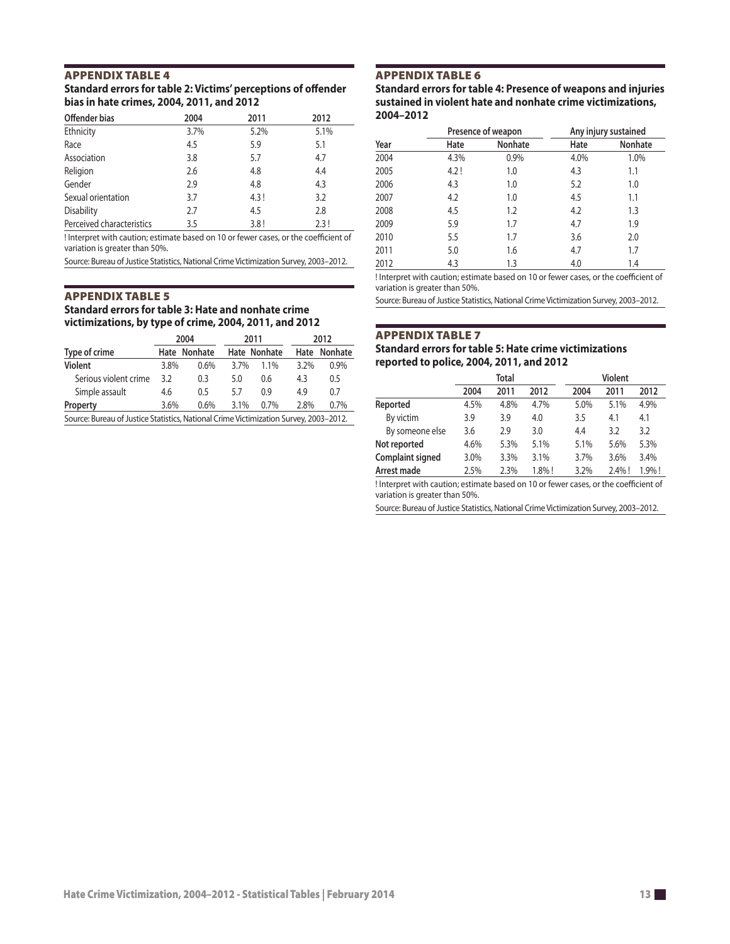#### Appendix table 4 **Standard errors for table 2: Victims' perceptions of offender bias in hate crimes, 2004, 2011, and 2012**

| Offender bias             | 2004 | 2011 | 2012 |
|---------------------------|------|------|------|
| Ethnicity                 | 3.7% | 5.2% | 5.1% |
| Race                      | 4.5  | 5.9  | 5.1  |
| Association               | 3.8  | 5.7  | 4.7  |
| Religion                  | 2.6  | 4.8  | 4.4  |
| Gender                    | 2.9  | 4.8  | 4.3  |
| Sexual orientation        | 3.7  | 4.3! | 3.2  |
| <b>Disability</b>         | 2.7  | 4.5  | 2.8  |
| Perceived characteristics | 3.5  | 3.8! | 2.3! |

! Interpret with caution; estimate based on 10 or fewer cases, or the coefficient of variation is greater than 50%.

Source: Bureau of Justice Statistics, National Crime Victimization Survey, 2003–2012.

#### Appendix table 5 **Standard errors for table 3: Hate and nonhate crime victimizations, by type of crime, 2004, 2011, and 2012**

|                                                                                       | 2004 |              | 2011 |              | 2012 |              |
|---------------------------------------------------------------------------------------|------|--------------|------|--------------|------|--------------|
| Type of crime                                                                         |      | Hate Nonhate |      | Hate Nonhate |      | Hate Nonhate |
| Violent                                                                               | 3.8% | 0.6%         | 3.7% | 1.1%         | 3.2% | 0.9%         |
| Serious violent crime                                                                 | 3.2  | 0.3          | 5.0  | 0.6          | 4.3  | 0.5          |
| Simple assault                                                                        | 4.6  | 0.5          | 5.7  | 0.9          | 4.9  | 0.7          |
| Property                                                                              | 3.6% | 0.6%         | 3.1% | 0.7%         | 2.8% | 0.7%         |
| Source: Bureau of Justice Statistics, National Crime Victimization Survey, 2003-2012. |      |              |      |              |      |              |

#### Appendix table 6

**Standard errors for table 4: Presence of weapons and injuries sustained in violent hate and nonhate crime victimizations, 2004–2012**

|      |      | Presence of weapon | Any injury sustained |         |  |
|------|------|--------------------|----------------------|---------|--|
| Year | Hate | Nonhate            | Hate                 | Nonhate |  |
| 2004 | 4.3% | 0.9%               | 4.0%                 | 1.0%    |  |
| 2005 | 4.2! | 1.0                | 4.3                  | 1.1     |  |
| 2006 | 4.3  | 1.0                | 5.2                  | 1.0     |  |
| 2007 | 4.2  | 1.0                | 4.5                  | 1.1     |  |
| 2008 | 4.5  | 1.2                | 4.2                  | 1.3     |  |
| 2009 | 5.9  | 1.7                | 4.7                  | 1.9     |  |
| 2010 | 5.5  | 1.7                | 3.6                  | 2.0     |  |
| 2011 | 5.0  | 1.6                | 4.7                  | 1.7     |  |
| 2012 | 4.3  | 1.3                | 4.0                  | 1.4     |  |

! Interpret with caution; estimate based on 10 or fewer cases, or the coefficient of variation is greater than 50%.

Source: Bureau of Justice Statistics, National Crime Victimization Survey, 2003–2012.

#### Appendix table 7

#### **Standard errors for table 5: Hate crime victimizations reported to police, 2004, 2011, and 2012**

|                         | Total |      |           | Violent |           |          |  |
|-------------------------|-------|------|-----------|---------|-----------|----------|--|
|                         | 2004  | 2011 | 2012      | 2004    | 2011      | 2012     |  |
| Reported                | 4.5%  | 4.8% | 4.7%      | 5.0%    | 5.1%      | 4.9%     |  |
| By victim               | 3.9   | 3.9  | 4.0       | 3.5     | 4.1       | 4.1      |  |
| By someone else         | 3.6   | 2.9  | 3.0       | 4.4     | 3.2       | 3.2      |  |
| Not reported            | 4.6%  | 5.3% | 5.1%      | 5.1%    | 5.6%      | 5.3%     |  |
| <b>Complaint signed</b> | 3.0%  | 3.3% | 3.1%      | 3.7%    | 3.6%      | 3.4%     |  |
| Arrest made             | 2.5%  | 2.3% | $1.8\%$ ! | 3.2%    | $2.4\%$ ! | $1.9%$ ! |  |

! Interpret with caution; estimate based on 10 or fewer cases, or the coefficient of variation is greater than 50%.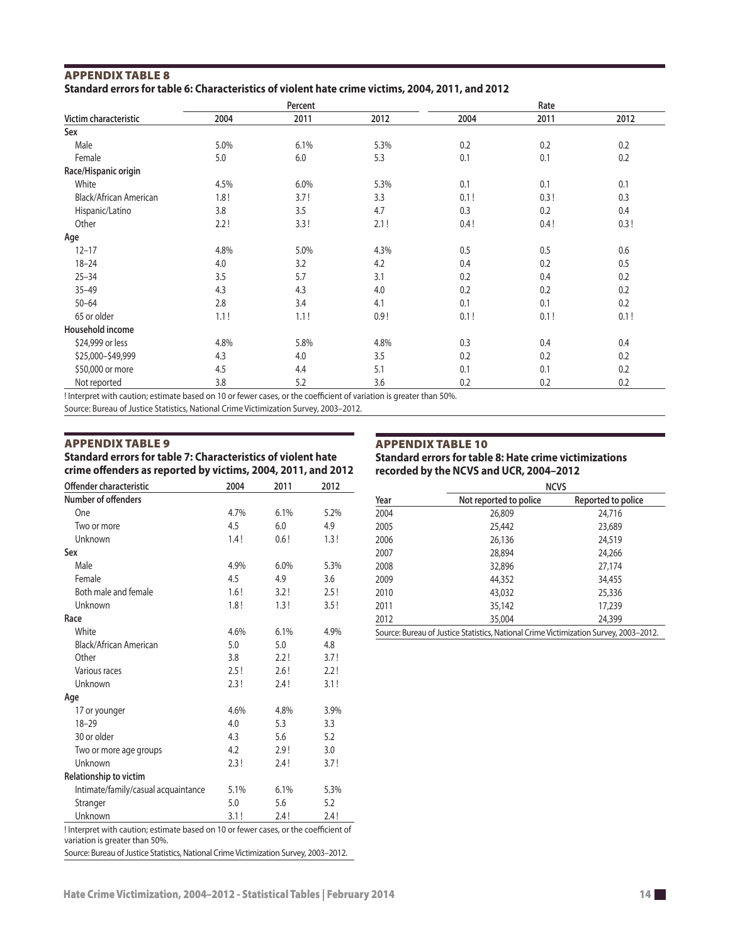#### Appendix table 8 **Standard errors for table 6: Characteristics of violent hate crime victims, 2004, 2011, and 2012**

|                        |      | Percent |      |      | Rate |      |
|------------------------|------|---------|------|------|------|------|
| Victim characteristic  | 2004 | 2011    | 2012 | 2004 | 2011 | 2012 |
| Sex                    |      |         |      |      |      |      |
| Male                   | 5.0% | 6.1%    | 5.3% | 0.2  | 0.2  | 0.2  |
| Female                 | 5.0  | 6.0     | 5.3  | 0.1  | 0.1  | 0.2  |
| Race/Hispanic origin   |      |         |      |      |      |      |
| White                  | 4.5% | 6.0%    | 5.3% | 0.1  | 0.1  | 0.1  |
| Black/African American | 1.8! | 3.7!    | 3.3  | 0.1! | 0.3! | 0.3  |
| Hispanic/Latino        | 3.8  | 3.5     | 4.7  | 0.3  | 0.2  | 0.4  |
| Other                  | 2.2! | 3.3!    | 2.1! | 0.4! | 0.4! | 0.3! |
| Age                    |      |         |      |      |      |      |
| $12 - 17$              | 4.8% | 5.0%    | 4.3% | 0.5  | 0.5  | 0.6  |
| $18 - 24$              | 4.0  | 3.2     | 4.2  | 0.4  | 0.2  | 0.5  |
| $25 - 34$              | 3.5  | 5.7     | 3.1  | 0.2  | 0.4  | 0.2  |
| $35 - 49$              | 4.3  | 4.3     | 4.0  | 0.2  | 0.2  | 0.2  |
| $50 - 64$              | 2.8  | 3.4     | 4.1  | 0.1  | 0.1  | 0.2  |
| 65 or older            | 1.1! | 1.1!    | 0.9! | 0.1! | 0.1! | 0.1! |
| Household income       |      |         |      |      |      |      |
| \$24,999 or less       | 4.8% | 5.8%    | 4.8% | 0.3  | 0.4  | 0.4  |
| \$25,000-\$49,999      | 4.3  | 4.0     | 3.5  | 0.2  | 0.2  | 0.2  |
| \$50,000 or more       | 4.5  | 4.4     | 5.1  | 0.1  | 0.1  | 0.2  |
| Not reported           | 3.8  | 5.2     | 3.6  | 0.2  | 0.2  | 0.2  |

! Interpret with caution; estimate based on 10 or fewer cases, or the coefficient of variation is greater than 50%.

Source: Bureau of Justice Statistics, National Crime Victimization Survey, 2003–2012.

#### Appendix table 9

#### **Standard errors for table 7: Characteristics of violent hate crime offenders as reported by victims, 2004, 2011, and 2012**

# Appendix table 10

**Offender characteristic 2004 2011 2012 Number of offenders** One 4.7% 6.1% 5.2% Two or more 4.5 6.0 4.9 Unknown 1.4! 0.6! 1.3! **Sex** Male 4.9% 6.0% 5.3% Female 4.5 4.9 3.6 Both male and female 1.6 ! 3.2 ! 2.5 ! Unknown 1.8 ! 1.3 ! 3.5 ! **Race** White 4.6% 6.1% 4.9% Black/African American 5.0 5.0 4.8 Other 3.8 2.2 ! 3.7 ! Various races 2.5 ! 2.6 ! 2.2 ! Unknown 2.3! 2.4! 3.1! **Age** 17 or younger 4.6% 4.8% 3.9% 18–29 4.0 5.3 3.3 30 or older 4.3 5.6 5.2 Two or more age groups 4.2 2.9! 3.0 Unknown 2.3! 2.4! 3.7! **Relationship to victim** Intimate/family/casual acquaintance 5.1% 6.1% 5.3% Stranger 5.0 5.6 5.2 Unknown 3.1! 2.4! 2.4! ! Interpret with caution; estimate based on 10 or fewer cases, or the coefficient of **Standard errors for table 8: Hate crime victimizations recorded by the NCVS and UCR, 2004–2012**

|                                                                                       | <b>NCVS</b>            |                    |  |  |  |  |
|---------------------------------------------------------------------------------------|------------------------|--------------------|--|--|--|--|
| Year                                                                                  | Not reported to police | Reported to police |  |  |  |  |
| 2004                                                                                  | 26,809                 | 24,716             |  |  |  |  |
| 2005                                                                                  | 25,442                 | 23,689             |  |  |  |  |
| 2006                                                                                  | 26,136                 | 24,519             |  |  |  |  |
| 2007                                                                                  | 28,894                 | 24,266             |  |  |  |  |
| 2008                                                                                  | 32,896                 | 27,174             |  |  |  |  |
| 2009                                                                                  | 44,352                 | 34,455             |  |  |  |  |
| 2010                                                                                  | 43,032                 | 25,336             |  |  |  |  |
| 2011                                                                                  | 35,142                 | 17,239             |  |  |  |  |
| 2012                                                                                  | 35,004                 | 24,399             |  |  |  |  |
| Source: Bureau of Justice Statistics, National Crime Victimization Survey, 2003–2012. |                        |                    |  |  |  |  |

variation is greater than 50%.